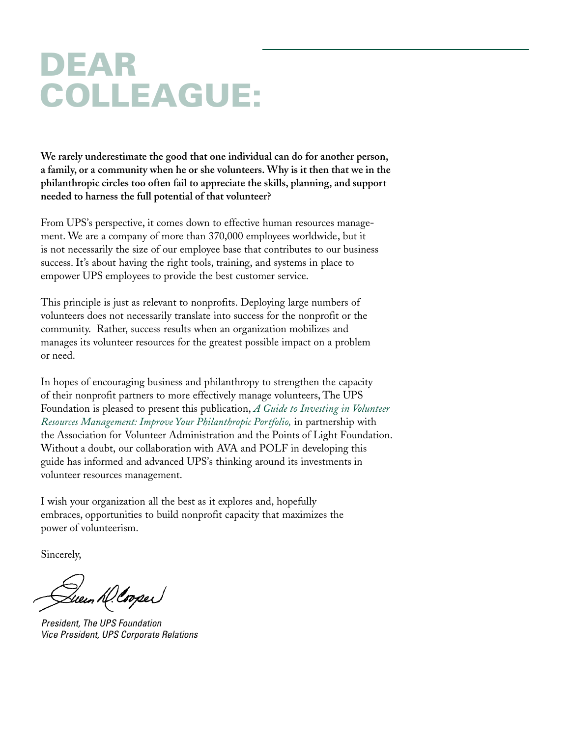# **DEAR COLLEAGUE:**

**We rarely underestimate the good that one individual can do for another person, a family, or a community when he or she volunteers. Why is it then that we in the philanthropic circles too often fail to appreciate the skills, planning, and support needed to harness the full potential of that volunteer?**

From UPS's perspective, it comes down to effective human resources management. We are a company of more than 370,000 employees worldwide, but it is not necessarily the size of our employee base that contributes to our business success. It's about having the right tools, training, and systems in place to empower UPS employees to provide the best customer service.

This principle is just as relevant to nonprofits. Deploying large numbers of volunteers does not necessarily translate into success for the nonprofit or the community. Rather, success results when an organization mobilizes and manages its volunteer resources for the greatest possible impact on a problem or need.

In hopes of encouraging business and philanthropy to strengthen the capacity of their nonprofit partners to more effectively manage volunteers, The UPS Foundation is pleased to present this publication, *A Guide to Investing in Volunteer Resources Management: Improve Your Philanthropic Portfolio,* in partnership with the Association for Volunteer Administration and the Points of Light Foundation. Without a doubt, our collaboration with AVA and POLF in developing this guide has informed and advanced UPS's thinking around its investments in volunteer resources management.

I wish your organization all the best as it explores and, hopefully embraces, opportunities to build nonprofit capacity that maximizes the power of volunteerism.

Sincerely,

Queen h(Cooper)

*President, The UPS Foundation Vice President, UPS Corporate Relations*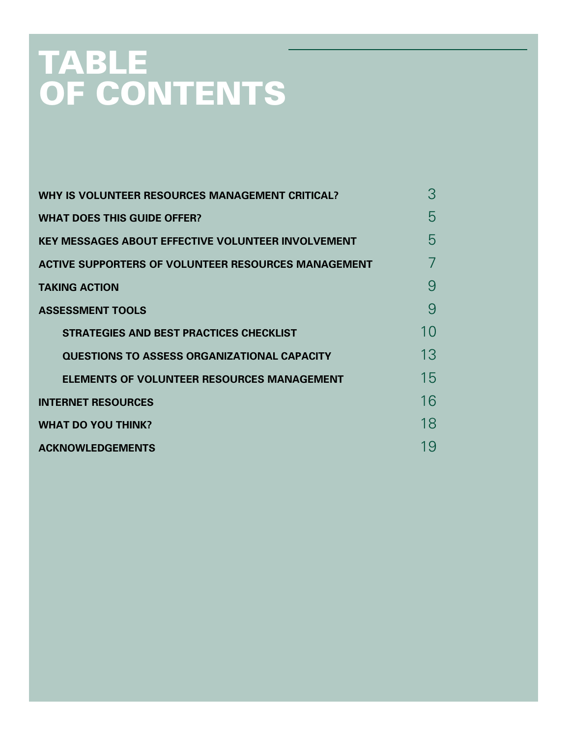# **TABLE OF CONTENTS**

| <b>WHY IS VOLUNTEER RESOURCES MANAGEMENT CRITICAL?</b>     | 3  |
|------------------------------------------------------------|----|
| <b>WHAT DOES THIS GUIDE OFFER?</b>                         | 5  |
| <b>KEY MESSAGES ABOUT EFFECTIVE VOLUNTEER INVOLVEMENT</b>  | ხ  |
| <b>ACTIVE SUPPORTERS OF VOLUNTEER RESOURCES MANAGEMENT</b> |    |
| <b>TAKING ACTION</b>                                       | 9  |
| <b>ASSESSMENT TOOLS</b>                                    | 9  |
| <b>STRATEGIES AND BEST PRACTICES CHECKLIST</b>             | 10 |
| <b>QUESTIONS TO ASSESS ORGANIZATIONAL CAPACITY</b>         | 13 |
| <b>ELEMENTS OF VOLUNTEER RESOURCES MANAGEMENT</b>          | 15 |
| <b>INTERNET RESOURCES</b>                                  | 16 |
| <b>WHAT DO YOU THINK?</b>                                  | 18 |
| <b>ACKNOWLEDGEMENTS</b>                                    | 19 |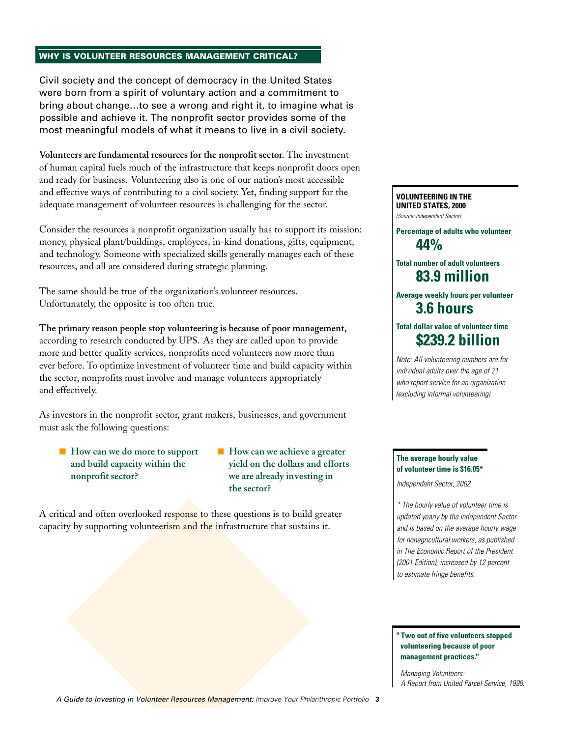#### **WHY IS VOLUNTEER RESOURCES MANAGEMENT CRITICAL?**

Civil society and the concept of democracy in the United States were born from a spirit of voluntary action and a commitment to bring about change…to see a wrong and right it, to imagine what is possible and achieve it. The nonprofit sector provides some of the most meaningful models of what it means to live in a civil society.

**Volunteers are fundamental resources for the nonprofit sector.** The investment of human capital fuels much of the infrastructure that keeps nonprofit doors open and ready for business. Volunteering also is one of our nation's most accessible and effective ways of contributing to a civil society. Yet, finding support for the adequate management of volunteer resources is challenging for the sector.

Consider the resources a nonprofit organization usually has to support its mission: money, physical plant/buildings, employees, in-kind donations, gifts, equipment, and technology. Someone with specialized skills generally manages each of these resources, and all are considered during strategic planning.

The same should be true of the organization's volunteer resources. Unfortunately, the opposite is too often true.

**The primary reason people stop volunteering is because of poor management,** according to research conducted by UPS. As they are called upon to provide more and better quality services, nonprofits need volunteers now more than ever before. To optimize investment of volunteer time and build capacity within the sector, nonprofits must involve and manage volunteers appropriately and effectively.

As investors in the nonprofit sector, grant makers, businesses, and government must ask the following questions:

- **How can we do more to support and build capacity within the nonprofit sector?**
- **How can we achieve a greater yield on the dollars and efforts we are already investing in the sector?**

A critical and often overlooked response to these questions is to build greater capacity by supporting volunteerism and the infrastructure that sustains it.

## **VOLUNTEERING IN THE UNITED STATES, 2000**

*(Source: Independent Sector)*

**Percentage of adults who volunteer 44%**

**Total number of adult volunteers 83.9 million**

**Average weekly hours per volunteer 3.6 hours**

## **Total dollar value of volunteer time \$239.2 billion**

*Note: All volunteering numbers are for individual adults over the age of 21 who report service for an organization (excluding informal volunteering).*

#### **The average hourly value of volunteer time is \$16.05\***

*Independent Sector, 2002.* 

*\* The hourly value of volunteer time is updated yearly by the Independent Sector and is based on the average hourly wage for nonagricultural workers, as published in The Economic Report of the President (2001 Edition), increased by 12 percent to estimate fringe benefits.* 

#### **" Two out of five volunteers stopped volunteering because of poor management practices."**

*Managing Volunteers: A Report from United Parcel Service, 1998.*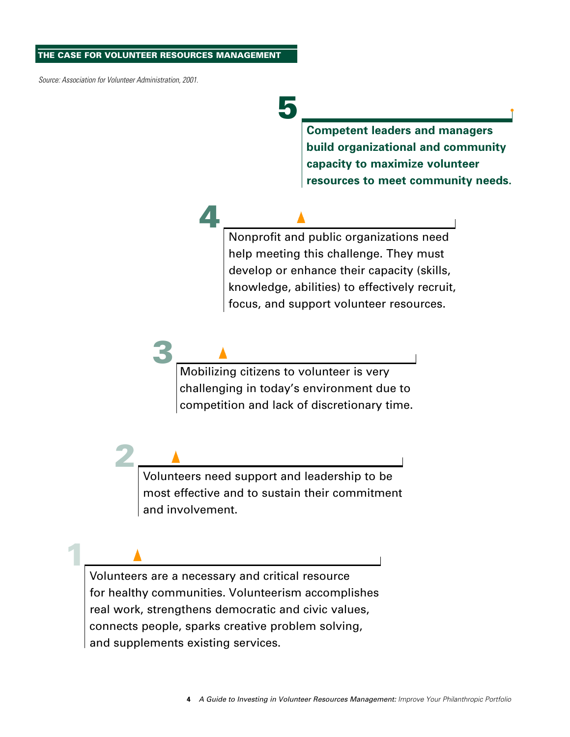#### **THE CASE FOR VOLUNTEER RESOURCES MANAGEMENT**

*Source: Association for Volunteer Administration, 2001.* 

**1**

**2**

**3**

**4**

# **5**

**Competent leaders and managers build organizational and community capacity to maximize volunteer resources to meet community needs.**

Nonprofit and public organizations need help meeting this challenge. They must develop or enhance their capacity (skills, knowledge, abilities) to effectively recruit, focus, and support volunteer resources.

Mobilizing citizens to volunteer is very challenging in today's environment due to competition and lack of discretionary time.

Volunteers need support and leadership to be most effective and to sustain their commitment and involvement.

Volunteers are a necessary and critical resource for healthy communities. Volunteerism accomplishes real work, strengthens democratic and civic values, connects people, sparks creative problem solving, and supplements existing services.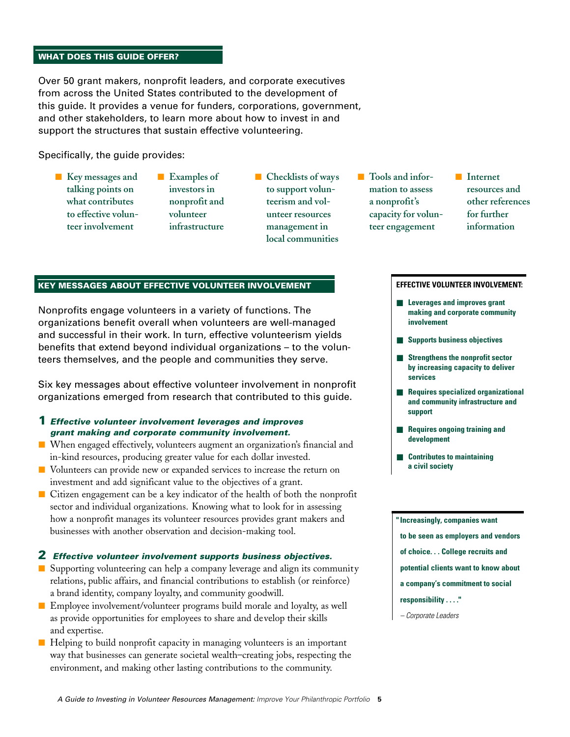### **WHAT DOES THIS GUIDE OFFER?**

Over 50 grant makers, nonprofit leaders, and corporate executives from across the United States contributed to the development of this guide. It provides a venue for funders, corporations, government, and other stakeholders, to learn more about how to invest in and support the structures that sustain effective volunteering.

Specifically, the guide provides:

- **Key messages and talking points on what contributes to effective volunteer involvement**
- **Examples of investors in nonprofit and volunteer infrastructure**
- **Checklists of ways to support volunteerism and volunteer resources management in local communities**
- Tools and infor**mation to assess a nonprofit's capacity for volunteer engagement**
- **Internet resources and other references for further information**

#### **KEY MESSAGES ABOUT EFFECTIVE VOLUNTEER INVOLVEMENT**

Nonprofits engage volunteers in a variety of functions. The organizations benefit overall when volunteers are well-managed and successful in their work. In turn, effective volunteerism yields benefits that extend beyond individual organizations – to the volunteers themselves, and the people and communities they serve.

Six key messages about effective volunteer involvement in nonprofit organizations emerged from research that contributed to this guide.

- **1** *Effective volunteer involvement leverages and improves grant making and corporate community involvement.*
- When engaged effectively, volunteers augment an organization's financial and in-kind resources, producing greater value for each dollar invested.
- Volunteers can provide new or expanded services to increase the return on investment and add significant value to the objectives of a grant.
- Citizen engagement can be a key indicator of the health of both the nonprofit sector and individual organizations. Knowing what to look for in assessing how a nonprofit manages its volunteer resources provides grant makers and businesses with another observation and decision-making tool.

#### **2** *Effective volunteer involvement supports business objectives.*

- Supporting volunteering can help a company leverage and align its community relations, public affairs, and financial contributions to establish (or reinforce) a brand identity, company loyalty, and community goodwill.
- Employee involvement/volunteer programs build morale and loyalty, as well as provide opportunities for employees to share and develop their skills and expertise.
- Helping to build nonprofit capacity in managing volunteers is an important way that businesses can generate societal wealth–creating jobs, respecting the environment, and making other lasting contributions to the community.

#### **EFFECTIVE VOLUNTEER INVOLVEMENT:**

- **Leverages and improves grant making and corporate community involvement**
- **Supports business objectives**
- **Strengthens the nonprofit sector by increasing capacity to deliver services**
- **Requires specialized organizational and community infrastructure and support**
- **Requires ongoing training and development**
- **Contributes to maintaining a civil society**

**"Increasingly, companies want to be seen as employers and vendors of choice. . . College recruits and** 

- **potential clients want to know about**
- **a company's commitment to social**
- **responsibility . . . ."**
- *Corporate Leaders*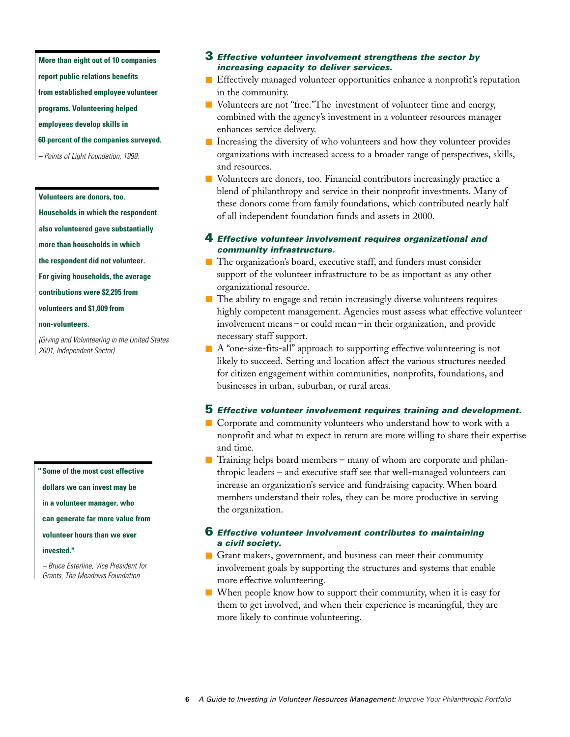**More than eight out of 10 companies**

**report public relations benefits** 

**from established employee volunteer** 

**programs. Volunteering helped** 

**employees develop skills in** 

- **60 percent of the companies surveyed.**
- *Points of Light Foundation, 1999.*

#### **Volunteers are donors, too.**

**Households in which the respondent**

**also volunteered gave substantially**

**more than households in which** 

**the respondent did not volunteer.**

**For giving households, the average** 

**contributions were \$2,295 from** 

**volunteers and \$1,009 from** 

#### **non-volunteers.**

*(Giving and Volunteering in the United States 2001, Independent Sector)*

**" Some of the most cost effective** 

**dollars we can invest may be**

**in a volunteer manager, who** 

**can generate far more value from** 

**volunteer hours than we ever** 

#### **invested."**

*– Bruce Esterline, Vice President for Grants, The Meadows Foundation*

#### **3** *Effective volunteer involvement strengthens the sector by increasing capacity to deliver services.*

- Effectively managed volunteer opportunities enhance a nonprofit's reputation in the community.
- Volunteers are not "free."The investment of volunteer time and energy, combined with the agency's investment in a volunteer resources manager enhances service delivery.
- Increasing the diversity of who volunteers and how they volunteer provides organizations with increased access to a broader range of perspectives, skills, and resources.
- Volunteers are donors, too. Financial contributors increasingly practice a blend of philanthropy and service in their nonprofit investments. Many of these donors come from family foundations, which contributed nearly half of all independent foundation funds and assets in 2000.

#### **4** *Effective volunteer involvement requires organizational and community infrastructure.*

- The organization's board, executive staff, and funders must consider support of the volunteer infrastructure to be as important as any other organizational resource.
- The ability to engage and retain increasingly diverse volunteers requires highly competent management. Agencies must assess what effective volunteer involvement means – or could mean – in their organization, and provide necessary staff support.
- $\blacksquare$  A "one-size-fits-all" approach to supporting effective volunteering is not likely to succeed. Setting and location affect the various structures needed for citizen engagement within communities, nonprofits, foundations, and businesses in urban, suburban, or rural areas.

#### **5** *Effective volunteer involvement requires training and development.*

- Corporate and community volunteers who understand how to work with a nonprofit and what to expect in return are more willing to share their expertise and time.
- Training helps board members many of whom are corporate and philanthropic leaders – and executive staff see that well-managed volunteers can increase an organization's service and fundraising capacity. When board members understand their roles, they can be more productive in serving the organization.

#### **6** *Effective volunteer involvement contributes to maintaining a civil society.*

■ Grant makers, government, and business can meet their community involvement goals by supporting the structures and systems that enable more effective volunteering.

■ When people know how to support their community, when it is easy for them to get involved, and when their experience is meaningful, they are more likely to continue volunteering.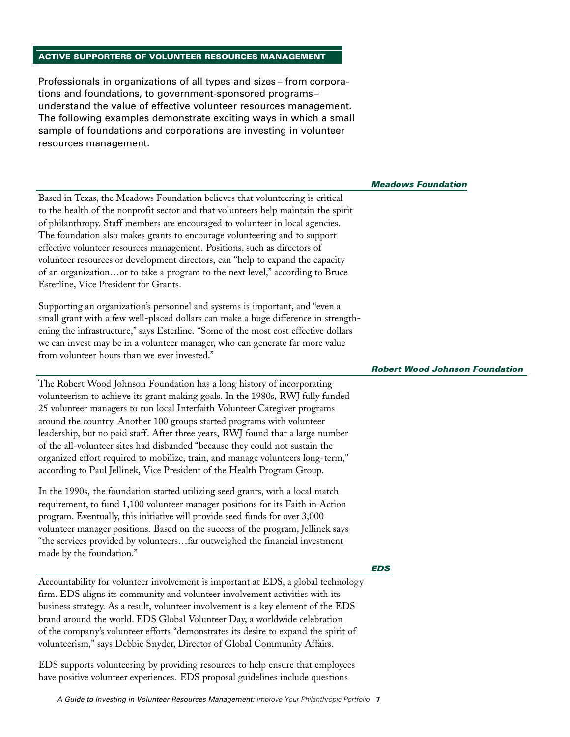### **ACTIVE SUPPORTERS OF VOLUNTEER RESOURCES MANAGEMENT**

Professionals in organizations of all types and sizes – from corporations and foundations, to government-sponsored programs– understand the value of effective volunteer resources management. The following examples demonstrate exciting ways in which a small sample of foundations and corporations are investing in volunteer resources management.

*Meadows Foundation*

*Robert Wood Johnson Foundation*

Based in Texas, the Meadows Foundation believes that volunteering is critical to the health of the nonprofit sector and that volunteers help maintain the spirit of philanthropy. Staff members are encouraged to volunteer in local agencies. The foundation also makes grants to encourage volunteering and to support effective volunteer resources management. Positions, such as directors of volunteer resources or development directors, can "help to expand the capacity of an organization…or to take a program to the next level," according to Bruce Esterline, Vice President for Grants.

Supporting an organization's personnel and systems is important, and "even a small grant with a few well-placed dollars can make a huge difference in strengthening the infrastructure," says Esterline. "Some of the most cost effective dollars we can invest may be in a volunteer manager, who can generate far more value from volunteer hours than we ever invested."

The Robert Wood Johnson Foundation has a long history of incorporating volunteerism to achieve its grant making goals. In the 1980s, RWJ fully funded 25 volunteer managers to run local Interfaith Volunteer Caregiver programs around the country. Another 100 groups started programs with volunteer leadership, but no paid staff. After three years, RWJ found that a large number of the all-volunteer sites had disbanded "because they could not sustain the organized effort required to mobilize, train, and manage volunteers long-term," according to Paul Jellinek, Vice President of the Health Program Group.

In the 1990s, the foundation started utilizing seed grants, with a local match requirement, to fund 1,100 volunteer manager positions for its Faith in Action program. Eventually, this initiative will provide seed funds for over 3,000 volunteer manager positions. Based on the success of the program, Jellinek says "the services provided by volunteers…far outweighed the financial investment made by the foundation."

#### *EDS*

Accountability for volunteer involvement is important at EDS, a global technology firm. EDS aligns its community and volunteer involvement activities with its business strategy. As a result, volunteer involvement is a key element of the EDS brand around the world. EDS Global Volunteer Day, a worldwide celebration of the company's volunteer efforts "demonstrates its desire to expand the spirit of volunteerism," says Debbie Snyder, Director of Global Community Affairs.

EDS supports volunteering by providing resources to help ensure that employees have positive volunteer experiences. EDS proposal guidelines include questions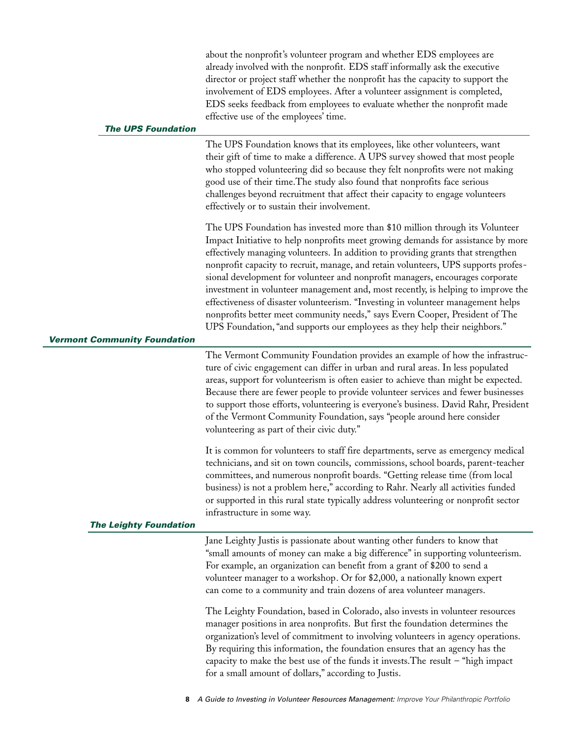| <b>The UPS Foundation</b>           | about the nonprofit's volunteer program and whether EDS employees are<br>already involved with the nonprofit. EDS staff informally ask the executive<br>director or project staff whether the nonprofit has the capacity to support the<br>involvement of EDS employees. After a volunteer assignment is completed,<br>EDS seeks feedback from employees to evaluate whether the nonprofit made<br>effective use of the employees' time.                                                                                                                                                                                                                                                                                                                          |
|-------------------------------------|-------------------------------------------------------------------------------------------------------------------------------------------------------------------------------------------------------------------------------------------------------------------------------------------------------------------------------------------------------------------------------------------------------------------------------------------------------------------------------------------------------------------------------------------------------------------------------------------------------------------------------------------------------------------------------------------------------------------------------------------------------------------|
|                                     |                                                                                                                                                                                                                                                                                                                                                                                                                                                                                                                                                                                                                                                                                                                                                                   |
|                                     | The UPS Foundation knows that its employees, like other volunteers, want<br>their gift of time to make a difference. A UPS survey showed that most people<br>who stopped volunteering did so because they felt nonprofits were not making<br>good use of their time. The study also found that nonprofits face serious<br>challenges beyond recruitment that affect their capacity to engage volunteers<br>effectively or to sustain their involvement.                                                                                                                                                                                                                                                                                                           |
| <b>Vermont Community Foundation</b> | The UPS Foundation has invested more than \$10 million through its Volunteer<br>Impact Initiative to help nonprofits meet growing demands for assistance by more<br>effectively managing volunteers. In addition to providing grants that strengthen<br>nonprofit capacity to recruit, manage, and retain volunteers, UPS supports profes-<br>sional development for volunteer and nonprofit managers, encourages corporate<br>investment in volunteer management and, most recently, is helping to improve the<br>effectiveness of disaster volunteerism. "Investing in volunteer management helps<br>nonprofits better meet community needs," says Evern Cooper, President of The<br>UPS Foundation, "and supports our employees as they help their neighbors." |
|                                     | The Vermont Community Foundation provides an example of how the infrastruc-                                                                                                                                                                                                                                                                                                                                                                                                                                                                                                                                                                                                                                                                                       |
|                                     | ture of civic engagement can differ in urban and rural areas. In less populated<br>areas, support for volunteerism is often easier to achieve than might be expected.<br>Because there are fewer people to provide volunteer services and fewer businesses<br>to support those efforts, volunteering is everyone's business. David Rahr, President<br>of the Vermont Community Foundation, says "people around here consider<br>volunteering as part of their civic duty."                                                                                                                                                                                                                                                                                        |
| <b>The Leighty Foundation</b>       | It is common for volunteers to staff fire departments, serve as emergency medical<br>technicians, and sit on town councils, commissions, school boards, parent-teacher<br>committees, and numerous nonprofit boards. "Getting release time (from local<br>business) is not a problem here," according to Rahr. Nearly all activities funded<br>or supported in this rural state typically address volunteering or nonprofit sector<br>infrastructure in some way.                                                                                                                                                                                                                                                                                                 |
|                                     | Jane Leighty Justis is passionate about wanting other funders to know that<br>"small amounts of money can make a big difference" in supporting volunteerism.<br>For example, an organization can benefit from a grant of \$200 to send a<br>volunteer manager to a workshop. Or for \$2,000, a nationally known expert<br>can come to a community and train dozens of area volunteer managers.                                                                                                                                                                                                                                                                                                                                                                    |
|                                     | The Leighty Foundation, based in Colorado, also invests in volunteer resources<br>manager positions in area nonprofits. But first the foundation determines the<br>organization's level of commitment to involving volunteers in agency operations.<br>By requiring this information, the foundation ensures that an agency has the<br>capacity to make the best use of the funds it invests. The result $-$ "high impact"<br>for a small amount of dollars," according to Justis.                                                                                                                                                                                                                                                                                |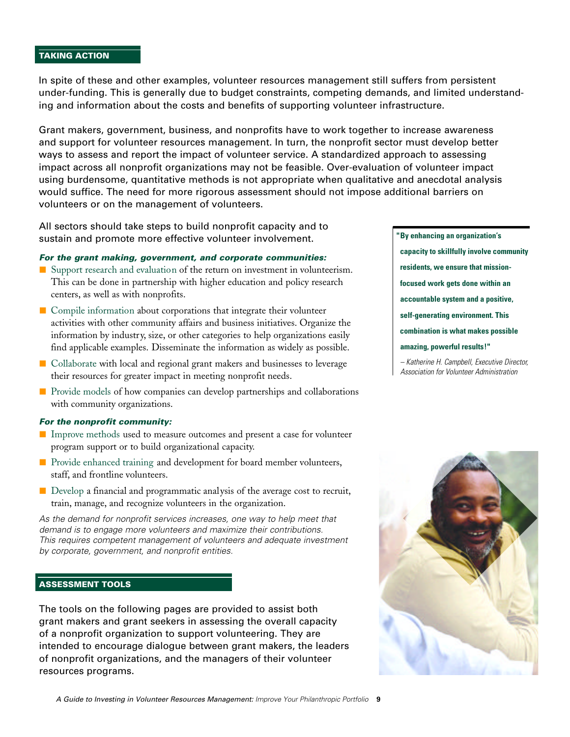#### **TAKING ACTION**

In spite of these and other examples, volunteer resources management still suffers from persistent under-funding. This is generally due to budget constraints, competing demands, and limited understanding and information about the costs and benefits of supporting volunteer infrastructure.

Grant makers, government, business, and nonprofits have to work together to increase awareness and support for volunteer resources management. In turn, the nonprofit sector must develop better ways to assess and report the impact of volunteer service. A standardized approach to assessing impact across all nonprofit organizations may not be feasible. Over-evaluation of volunteer impact using burdensome, quantitative methods is not appropriate when qualitative and anecdotal analysis would suffice. The need for more rigorous assessment should not impose additional barriers on volunteers or on the management of volunteers.

All sectors should take steps to build nonprofit capacity and to sustain and promote more effective volunteer involvement.

#### *For the grant making, government, and corporate communities:*

- Support research and evaluation of the return on investment in volunteerism. This can be done in partnership with higher education and policy research centers, as well as with nonprofits.
- Compile information about corporations that integrate their volunteer activities with other community affairs and business initiatives. Organize the information by industry, size, or other categories to help organizations easily find applicable examples. Disseminate the information as widely as possible.
- Collaborate with local and regional grant makers and businesses to leverage their resources for greater impact in meeting nonprofit needs.
- Provide models of how companies can develop partnerships and collaborations with community organizations.

#### *For the nonprofit community:*

- Improve methods used to measure outcomes and present a case for volunteer program support or to build organizational capacity.
- Provide enhanced training and development for board member volunteers, staff, and frontline volunteers.
- Develop a financial and programmatic analysis of the average cost to recruit, train, manage, and recognize volunteers in the organization.

*As the demand for nonprofit services increases, one way to help meet that demand is to engage more volunteers and maximize their contributions. This requires competent management of volunteers and adequate investment by corporate, government, and nonprofit entities.* 

#### **ASSESSMENT TOOLS**

The tools on the following pages are provided to assist both grant makers and grant seekers in assessing the overall capacity of a nonprofit organization to support volunteering. They are intended to encourage dialogue between grant makers, the leaders of nonprofit organizations, and the managers of their volunteer resources programs.

**"By enhancing an organization's capacity to skillfully involve community residents, we ensure that missionfocused work gets done within an accountable system and a positive, self-generating environment. This combination is what makes possible amazing, powerful results!"**

*– Katherine H. Campbell, Executive Director, Association for Volunteer Administration*

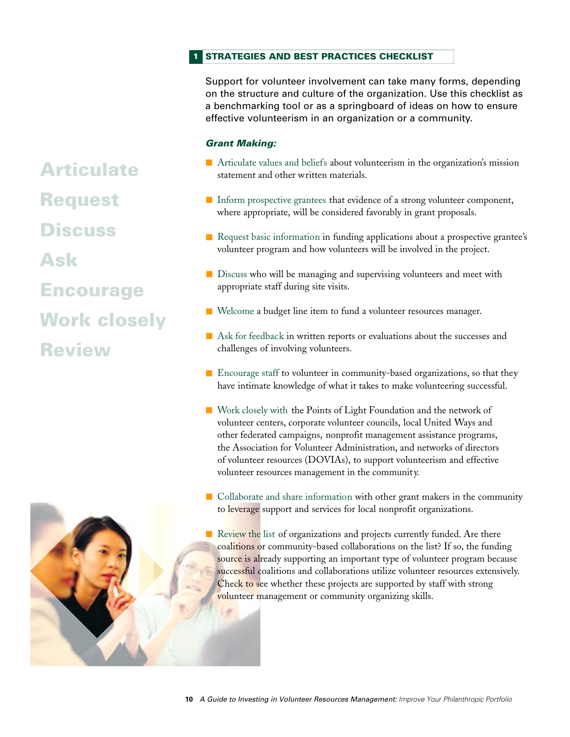#### **STRATEGIES AND BEST PRACTICES CHECKLIST 1**

Support for volunteer involvement can take many forms, depending on the structure and culture of the organization. Use this checklist as a benchmarking tool or as a springboard of ideas on how to ensure effective volunteerism in an organization or a community.

## *Grant Making:*

- Articulate values and beliefs about volunteerism in the organization's mission statement and other written materials.
- Inform prospective grantees that evidence of a strong volunteer component, where appropriate, will be considered favorably in grant proposals.
- Request basic information in funding applications about a prospective grantee's volunteer program and how volunteers will be involved in the project.
- Discuss who will be managing and supervising volunteers and meet with appropriate staff during site visits.
- Welcome a budget line item to fund a volunteer resources manager.
- Ask for feedback in written reports or evaluations about the successes and challenges of involving volunteers.
- Encourage staff to volunteer in community-based organizations, so that they have intimate knowledge of what it takes to make volunteering successful.
- Work closely with the Points of Light Foundation and the network of volunteer centers, corporate volunteer councils, local United Ways and other federated campaigns, nonprofit management assistance programs, the Association for Volunteer Administration, and networks of directors of volunteer resources (DOVIAs), to support volunteerism and effective volunteer resources management in the community.
- Collaborate and share information with other grant makers in the community to leverage support and services for local nonprofit organizations.
- Review the list of organizations and projects currently funded. Are there coalitions or community-based collaborations on the list? If so, the funding source is already supporting an important type of volunteer program because successful coalitions and collaborations utilize volunteer resources extensively. Check to see whether these projects are supported by staff with strong volunteer management or community organizing skills.



**Request**

**Discuss**

**Ask**

**Encourage**

**Work closely**

**Review**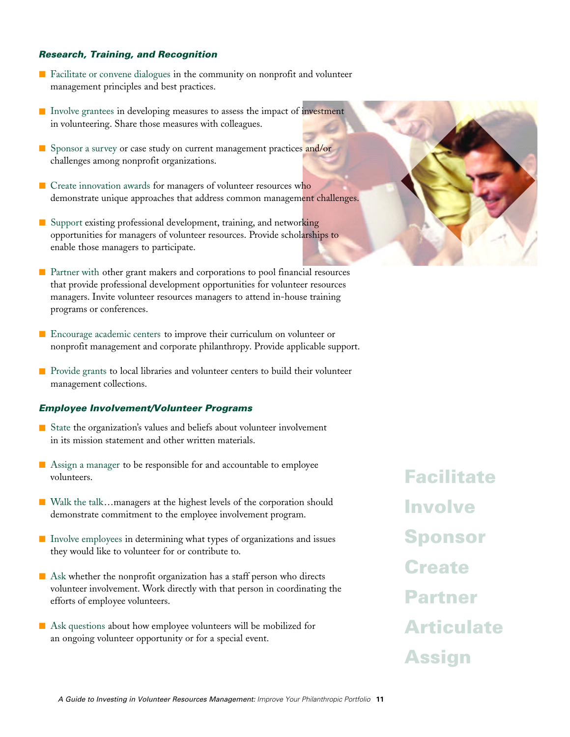#### *Research, Training, and Recognition*

- Facilitate or convene dialogues in the community on nonprofit and volunteer management principles and best practices.
- Involve grantees in developing measures to assess the impact of investment in volunteering. Share those measures with colleagues.
- Sponsor a survey or case study on current management practices and/or challenges among nonprofit organizations.
- Create innovation awards for managers of volunteer resources who demonstrate unique approaches that address common management challenges.
- Support existing professional development, training, and networking opportunities for managers of volunteer resources. Provide scholarships to enable those managers to participate.
- Partner with other grant makers and corporations to pool financial resources that provide professional development opportunities for volunteer resources managers. Invite volunteer resources managers to attend in-house training programs or conferences.
- Encourage academic centers to improve their curriculum on volunteer or nonprofit management and corporate philanthropy. Provide applicable support.
- Provide grants to local libraries and volunteer centers to build their volunteer management collections.

#### *Employee Involvement/Volunteer Programs*

- State the organization's values and beliefs about volunteer involvement in its mission statement and other written materials.
- Assign a manager to be responsible for and accountable to employee volunteers.
- Walk the talk…managers at the highest levels of the corporation should demonstrate commitment to the employee involvement program.
- Involve employees in determining what types of organizations and issues they would like to volunteer for or contribute to.
- Ask whether the nonprofit organization has a staff person who directs volunteer involvement. Work directly with that person in coordinating the efforts of employee volunteers.
- Ask questions about how employee volunteers will be mobilized for an ongoing volunteer opportunity or for a special event.



**Facilitate Involve Sponsor Create Partner Articulate Assign**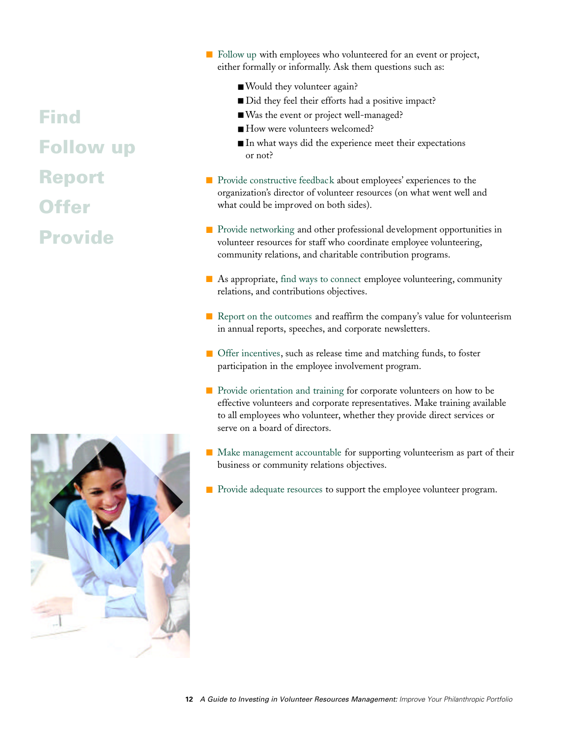## **Find Follow up Report Offer Provide**



- Follow up with employees who volunteered for an event or project, either formally or informally. Ask them questions such as:
	- Would they volunteer again?
	- Did they feel their efforts had a positive impact?
	- Was the event or project well-managed?
	- How were volunteers welcomed?
	- In what ways did the experience meet their expectations or not?
- Provide constructive feedback about employees' experiences to the organization's director of volunteer resources (on what went well and what could be improved on both sides).
- Provide networking and other professional development opportunities in volunteer resources for staff who coordinate employee volunteering, community relations, and charitable contribution programs.
- As appropriate, find ways to connect employee volunteering, community relations, and contributions objectives.
- Report on the outcomes and reaffirm the company's value for volunteerism in annual reports, speeches, and corporate newsletters.
- Offer incentives, such as release time and matching funds, to foster participation in the employee involvement program.
- Provide orientation and training for corporate volunteers on how to be effective volunteers and corporate representatives. Make training available to all employees who volunteer, whether they provide direct services or serve on a board of directors.
- Make management accountable for supporting volunteerism as part of their business or community relations objectives.
- Provide adequate resources to support the employee volunteer program.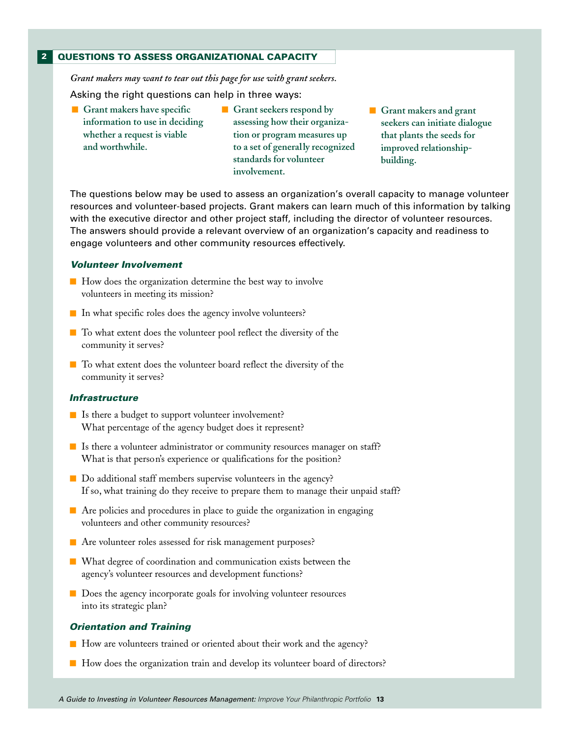#### **QUESTIONS TO ASSESS ORGANIZATIONAL CAPACITY 2**

*Grant makers may want to tear out this page for use with grant seekers.* Asking the right questions can help in three ways:

- **Grant makers have specific information to use in deciding whether a request is viable and worthwhile.**
- Grant seekers respond by **assessing how their organization or program measures up to a set of generally recognized standards for volunteer involvement.**
- Grant makers and grant **seekers can initiate dialogue that plants the seeds for improved relationshipbuilding.**

The questions below may be used to assess an organization's overall capacity to manage volunteer resources and volunteer-based projects. Grant makers can learn much of this information by talking with the executive director and other project staff, including the director of volunteer resources. The answers should provide a relevant overview of an organization's capacity and readiness to engage volunteers and other community resources effectively.

#### *Volunteer Involvement*

- How does the organization determine the best way to involve volunteers in meeting its mission?
- In what specific roles does the agency involve volunteers?
- To what extent does the volunteer pool reflect the diversity of the community it serves?
- To what extent does the volunteer board reflect the diversity of the community it serves?

#### *Infrastructure*

- Is there a budget to support volunteer involvement? What percentage of the agency budget does it represent?
- Is there a volunteer administrator or community resources manager on staff? What is that person's experience or qualifications for the position?
- Do additional staff members supervise volunteers in the agency? If so, what training do they receive to prepare them to manage their unpaid staff?
- Are policies and procedures in place to guide the organization in engaging volunteers and other community resources?
- Are volunteer roles assessed for risk management purposes?
- What degree of coordination and communication exists between the agency's volunteer resources and development functions?
- Does the agency incorporate goals for involving volunteer resources into its strategic plan?

#### *Orientation and Training*

- How are volunteers trained or oriented about their work and the agency?
- How does the organization train and develop its volunteer board of directors?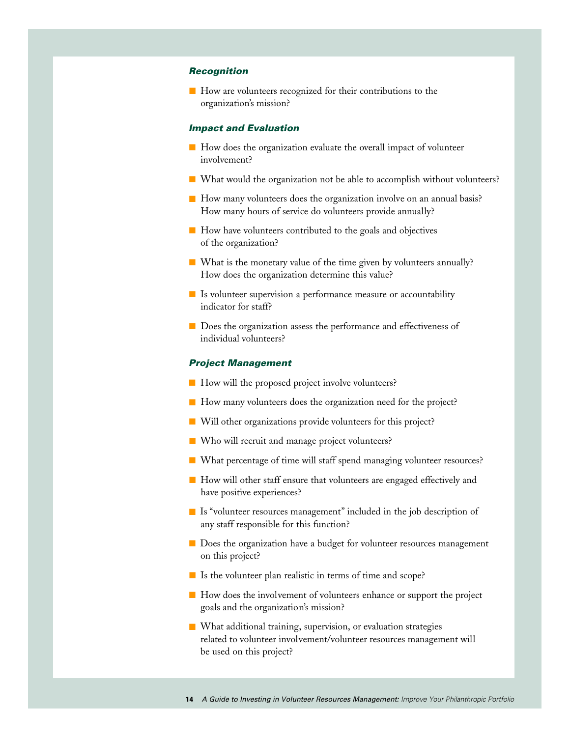#### *Recognition*

■ How are volunteers recognized for their contributions to the organization's mission?

#### *Impact and Evaluation*

- How does the organization evaluate the overall impact of volunteer involvement?
- What would the organization not be able to accomplish without volunteers?
- How many volunteers does the organization involve on an annual basis? How many hours of service do volunteers provide annually?
- How have volunteers contributed to the goals and objectives of the organization?
- What is the monetary value of the time given by volunteers annually? How does the organization determine this value?
- Is volunteer supervision a performance measure or accountability indicator for staff?
- Does the organization assess the performance and effectiveness of individual volunteers?

#### *Project Management*

- How will the proposed project involve volunteers?
- How many volunteers does the organization need for the project?
- Will other organizations provide volunteers for this project?
- Who will recruit and manage project volunteers?
- What percentage of time will staff spend managing volunteer resources?
- How will other staff ensure that volunteers are engaged effectively and have positive experiences?
- Is "volunteer resources management" included in the job description of any staff responsible for this function?
- Does the organization have a budget for volunteer resources management on this project?
- Is the volunteer plan realistic in terms of time and scope?
- How does the involvement of volunteers enhance or support the project goals and the organization's mission?
- What additional training, supervision, or evaluation strategies related to volunteer involvement/volunteer resources management will be used on this project?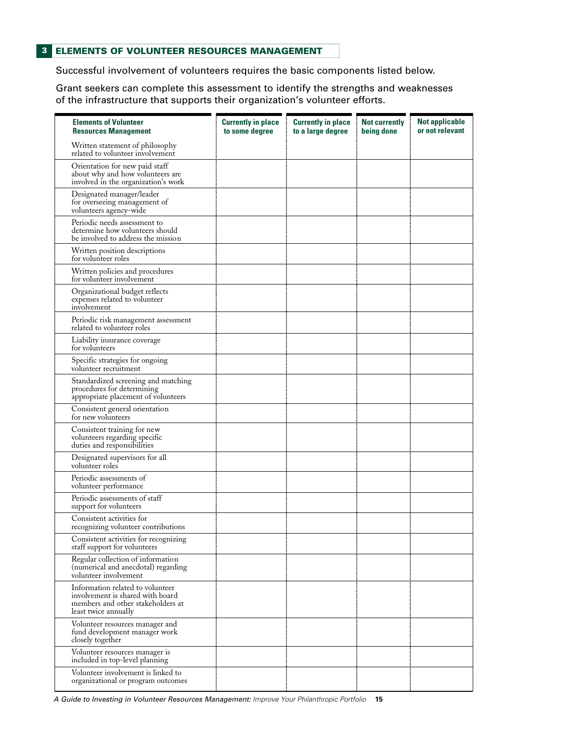Successful involvement of volunteers requires the basic components listed below.

Grant seekers can complete this assessment to identify the strengths and weaknesses of the infrastructure that supports their organization's volunteer efforts.

| <b>Elements of Volunteer</b><br><b>Resources Management</b>                                                                       | <b>Currently in place</b><br>to some degree | <b>Currently in place</b><br>to a large degree | <b>Not currently</b><br>being done | <b>Not applicable</b><br>or not relevant |
|-----------------------------------------------------------------------------------------------------------------------------------|---------------------------------------------|------------------------------------------------|------------------------------------|------------------------------------------|
| Written statement of philosophy<br>related to volunteer involvement                                                               |                                             |                                                |                                    |                                          |
| Orientation for new paid staff<br>about why and how volunteers are<br>involved in the organization's work                         |                                             |                                                |                                    |                                          |
| Designated manager/leader<br>for overseeing management of<br>volunteers agency-wide                                               |                                             |                                                |                                    |                                          |
| Periodic needs assessment to<br>determine how volunteers should<br>be involved to address the mission                             |                                             |                                                |                                    |                                          |
| Written position descriptions<br>for volunteer roles                                                                              |                                             |                                                |                                    |                                          |
| Written policies and procedures<br>for volunteer involvement                                                                      |                                             |                                                |                                    |                                          |
| Organizational budget reflects<br>expenses related to volunteer<br>involvement                                                    |                                             |                                                |                                    |                                          |
| Periodic risk management assessment<br>related to volunteer roles                                                                 |                                             |                                                |                                    |                                          |
| Liability insurance coverage<br>for volunteers                                                                                    |                                             |                                                |                                    |                                          |
| Specific strategies for ongoing<br>volunteer recruitment                                                                          |                                             |                                                |                                    |                                          |
| Standardized screening and matching<br>procedures for determining<br>appropriate placement of volunteers                          |                                             |                                                |                                    |                                          |
| Consistent general orientation<br>for new volunteers                                                                              |                                             |                                                |                                    |                                          |
| Consistent training for new<br>volunteers regarding specific<br>duties and responsibilities                                       |                                             |                                                |                                    |                                          |
| Designated supervisors for all<br>volunteer roles                                                                                 |                                             |                                                |                                    |                                          |
| Periodic assessments of<br>volunteer performance                                                                                  |                                             |                                                |                                    |                                          |
| Periodic assessments of staff<br>support for volunteers                                                                           |                                             |                                                |                                    |                                          |
| Consistent activities for<br>recognizing volunteer contributions                                                                  |                                             |                                                |                                    |                                          |
| Consistent activities for recognizing<br>staff support for volunteers                                                             |                                             |                                                |                                    |                                          |
| Regular collection of information<br>(numerical and anecdotal) regarding<br>volunteer involvement                                 |                                             |                                                |                                    |                                          |
| Information related to volunteer<br>involvement is shared with board<br>members and other stakeholders at<br>least twice annually |                                             |                                                |                                    |                                          |
| Volunteer resources manager and<br>fund development manager work<br>closely together                                              |                                             |                                                |                                    |                                          |
| Volunteer resources manager is<br>included in top-level planning                                                                  |                                             |                                                |                                    |                                          |
| Volunteer involvement is linked to<br>organizational or program outcomes                                                          |                                             |                                                |                                    |                                          |

*A Guide to Investing in Volunteer Resources Management: Improve Your Philanthropic Portfolio* **15**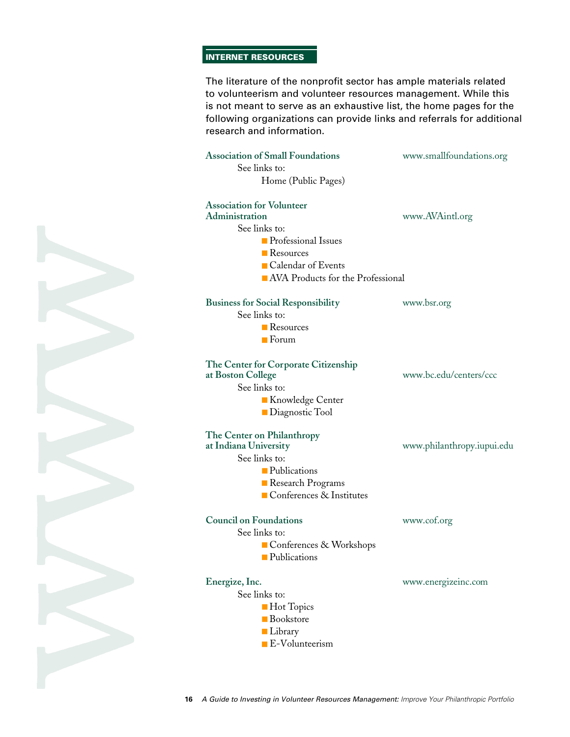#### **INTERNET RESOURCES**

The literature of the nonprofit sector has ample materials related to volunteerism and volunteer resources management. While this is not meant to serve as an exhaustive list, the home pages for the following organizations can provide links and referrals for additional research and information.

| <b>Association of Small Foundations</b><br>See links to:<br>Home (Public Pages)                                                                                               | www.smallfoundations.org   |
|-------------------------------------------------------------------------------------------------------------------------------------------------------------------------------|----------------------------|
| <b>Association for Volunteer</b><br>Administration<br>See links to:<br><b>Professional Issues</b><br>■ Resources<br>■ Calendar of Events<br>AVA Products for the Professional | www.AVAintl.org            |
| <b>Business for Social Responsibility</b><br>See links to:<br>Resources<br>$\blacksquare$ Forum                                                                               | www.bsr.org                |
| The Center for Corporate Citizenship<br>at Boston College<br>See links to:<br>Knowledge Center<br>■ Diagnostic Tool                                                           | www.bc.edu/centers/ccc     |
| The Center on Philanthropy<br>at Indiana University<br>See links to:<br>• Publications<br>Research Programs<br>■ Conferences & Institutes                                     | www.philanthropy.iupui.edu |
| <b>Council on Foundations</b><br>See links to:<br>Conferences & Workshops<br>Publications                                                                                     | www.cof.org                |
| Energize, Inc.<br>See links to:<br><b>Hot Topics</b><br><b>Bookstore</b><br><b>Library</b>                                                                                    | www.energizeinc.com        |

■ E-Volunteerism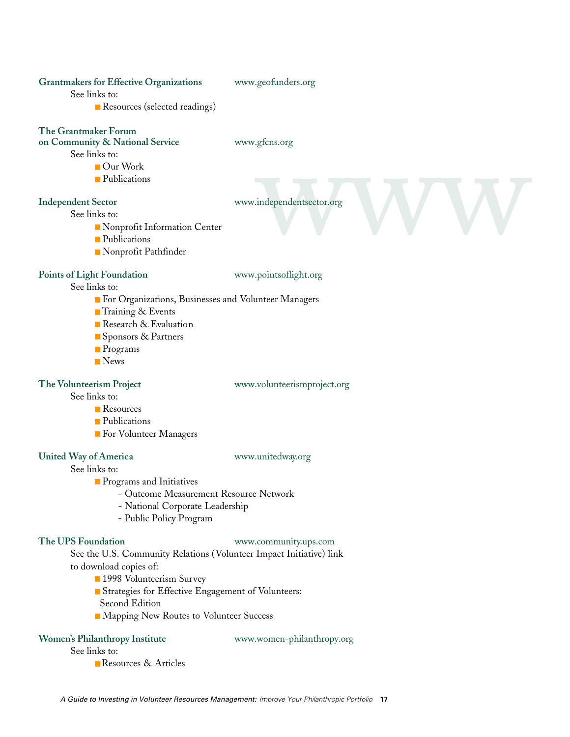#### **Grantmakers for Effective Organizations** www.geofunders.org

See links to:

■ Resources (selected readings)

## **The Grantmaker Forum**

### **on Community & National Service** www.gfcns.org

See links to:

- - Our Work
	- Publications

gtens.org<br>independentsector.org<br>www.com/solar-com/solar-com/solar-com/solar-com/solar-com/solar-com/solar-com/solar-com/solar-com/solar-com/solar-com/solar-com/solar-com/solar-com/solar-com/solar-com/solar-com/solar-com/so **Independent Sector** www.independentsector.org

See links to:

- Nonprofit Information Center
- Publications
- Nonprofit Pathfinder

#### Points of Light Foundation www.pointsoflight.org

See links to:

- For Organizations, Businesses and Volunteer Managers
- Training & Events
- Research & Evaluation
- Sponsors & Partners
- Programs
- News

**The Volunteerism Project** www.volunteerismproject.org

See links to:

- Resources
- Publications
- For Volunteer Managers

## **United Way of America** www.unitedway.org

See links to:

- Programs and Initiatives
	- Outcome Measurement Resource Network
	- National Corporate Leadership
	- Public Policy Program

#### **The UPS Foundation** www.community.ups.com

See the U.S. Community Relations (Volunteer Impact Initiative) link to download copies of:

- 1998 Volunteerism Survey
- Strategies for Effective Engagement of Volunteers: Second Edition
- Mapping New Routes to Volunteer Success

## **Women's Philanthropy Institute** www.women-philanthropy.org

See links to:

■ Resources & Articles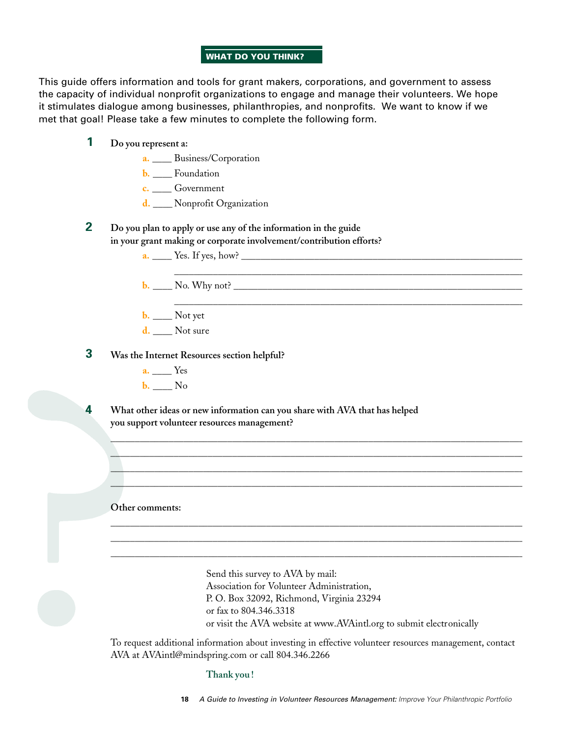#### **WHAT DO YOU THINK?**

This guide offers information and tools for grant makers, corporations, and government to assess the capacity of individual nonprofit organizations to engage and manage their volunteers. We hope it stimulates dialogue among businesses, philanthropies, and nonprofits. We want to know if we met that goal! Please take a few minutes to complete the following form.

- **Do you represent a: 1**
	- **a.** \_\_\_\_ Business/Corporation
	- **b.** \_\_\_\_ Foundation
	- **c.** \_\_\_\_ Government
	- **d.** \_\_\_\_ Nonprofit Organization
- **Do you plan to apply or use any of the information in the guide in your grant making or corporate involvement/contribution efforts? 2**
	- **a.** \_\_\_\_ Yes. If yes, how? \_\_\_\_\_\_\_\_\_\_\_\_\_\_\_\_\_\_\_\_\_\_\_\_\_\_\_\_\_\_\_\_\_\_\_\_\_\_\_\_\_\_\_\_\_\_\_\_\_\_\_\_\_\_\_\_\_\_
	- **b.** \_\_\_\_ No. Why not? \_\_\_\_\_\_\_\_\_\_\_\_\_\_\_\_\_\_\_\_\_\_\_\_\_\_\_\_\_\_\_\_\_\_\_\_\_\_\_\_\_\_\_\_\_\_\_\_\_\_\_\_\_\_\_\_\_\_\_\_
	- **b.** \_\_\_\_\_ Not yet
	- **d.** Not sure

#### **Was the Internet Resources section helpful? 3**

- **a.** \_\_\_\_ Yes
- **b.** \_\_\_\_ No

**What other ideas or new information can you share with AVA that has helped you support volunteer resources management? 4**

**Other comments:**

Send this survey to AVA by mail: Association for Volunteer Administration, P. O. Box 32092, Richmond, Virginia 23294 or fax to 804.346.3318 or visit the AVA website at www.AVAintl.org to submit electronically

\_\_\_\_\_\_\_\_\_\_\_\_\_\_\_\_\_\_\_\_\_\_\_\_\_\_\_\_\_\_\_\_\_\_\_\_\_\_\_\_\_\_\_\_\_\_\_\_\_\_\_\_\_\_\_\_\_\_\_\_\_\_\_\_\_\_\_\_\_\_\_\_

To request additional information about investing in effective volunteer resources management, contact AVA at AVAintl@mindspring.com or call 804.346.2266

 $\frac{1}{2}$  , and the set of the set of the set of the set of the set of the set of the set of the set of the set of the set of the set of the set of the set of the set of the set of the set of the set of the set of the set  $\Delta$  , and the state of the state of the state of the state of the state of the state of the state of the state of the state of the state of the state of the state of the state of the state of the state of the state of th  $\overline{\phantom{a}}$  , and the contribution of the contribution of the contribution of the contribution of the contribution of the contribution of the contribution of the contribution of the contribution of the contribution of the  $\Box$  . The contribution of the contribution of the contribution of the contribution of the contribution of the contribution of the contribution of the contribution of the contribution of the contribution of the contributi

\_\_\_\_\_\_\_\_\_\_\_\_\_\_\_\_\_\_\_\_\_\_\_\_\_\_\_\_\_\_\_\_\_\_\_\_\_\_\_\_\_\_\_\_\_\_\_\_\_\_\_\_\_\_\_\_\_\_\_\_\_\_\_\_\_\_\_\_\_\_\_\_\_\_\_\_\_\_\_\_\_\_\_\_\_  $\_$  , and the set of the set of the set of the set of the set of the set of the set of the set of the set of the set of the set of the set of the set of the set of the set of the set of the set of the set of the set of th \_\_\_\_\_\_\_\_\_\_\_\_\_\_\_\_\_\_\_\_\_\_\_\_\_\_\_\_\_\_\_\_\_\_\_\_\_\_\_\_\_\_\_\_\_\_\_\_\_\_\_\_\_\_\_\_\_\_\_\_\_\_\_\_\_\_\_\_\_\_\_\_\_\_\_\_\_\_\_\_\_\_\_\_\_

**Thank you !**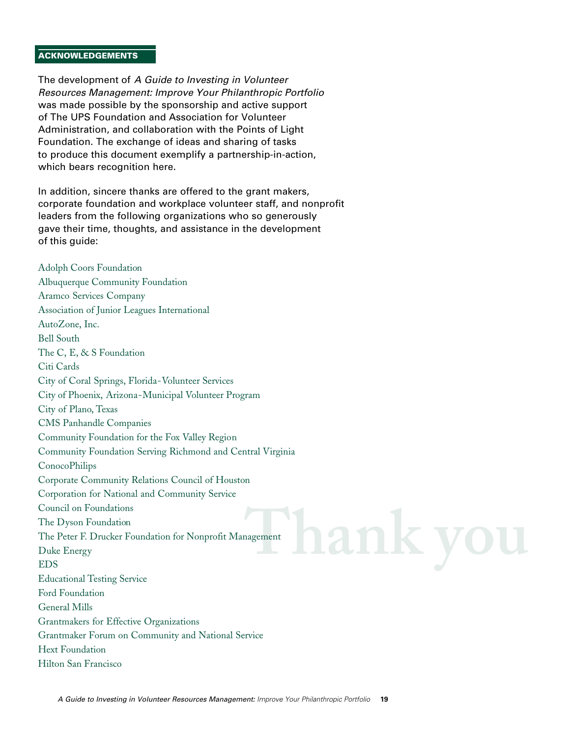#### **ACKNOWLEDGEMENTS**

The development of *A Guide to Investing in Volunteer Resources Management: Improve Your Philanthropic Portfolio* was made possible by the sponsorship and active support of The UPS Foundation and Association for Volunteer Administration, and collaboration with the Points of Light Foundation. The exchange of ideas and sharing of tasks to produce this document exemplify a partnership-in-action, which bears recognition here.

In addition, sincere thanks are offered to the grant makers, corporate foundation and workplace volunteer staff, and nonprofit leaders from the following organizations who so generously gave their time, thoughts, and assistance in the development of this guide:

**Ank yo** Adolph Coors Foundation Albuquerque Community Foundation Aramco Services Company Association of Junior Leagues International AutoZone, Inc. Bell South The C, E, & S Foundation Citi Cards City of Coral Springs, Florida-Volunteer Services City of Phoenix, Arizona-Municipal Volunteer Program City of Plano, Texas CMS Panhandle Companies Community Foundation for the Fox Valley Region Community Foundation Serving Richmond and Central Virginia ConocoPhilips Corporate Community Relations Council of Houston Corporation for National and Community Service Council on Foundations The Dyson Foundation The Peter F. Drucker Foundation for Nonprofit Management Duke Energy EDS Educational Testing Service Ford Foundation General Mills Grantmakers for Effective Organizations Grantmaker Forum on Community and National Service Hext Foundation Hilton San Francisco